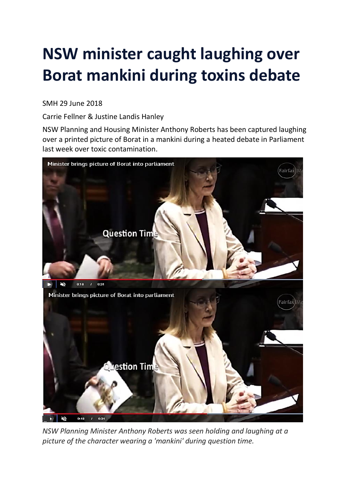## **NSW minister caught laughing over Borat mankini during toxins debate**

## SMH 29 June 2018

Carrie Fellner & Justine Landis Hanley

NSW Planning and Housing Minister Anthony Roberts has been captured laughing over a printed picture of Borat in a mankini during a heated debate in Parliament last week over toxic contamination.



*NSW Planning Minister Anthony Roberts was seen holding and laughing at a picture of the character wearing a 'mankini' during question time.*